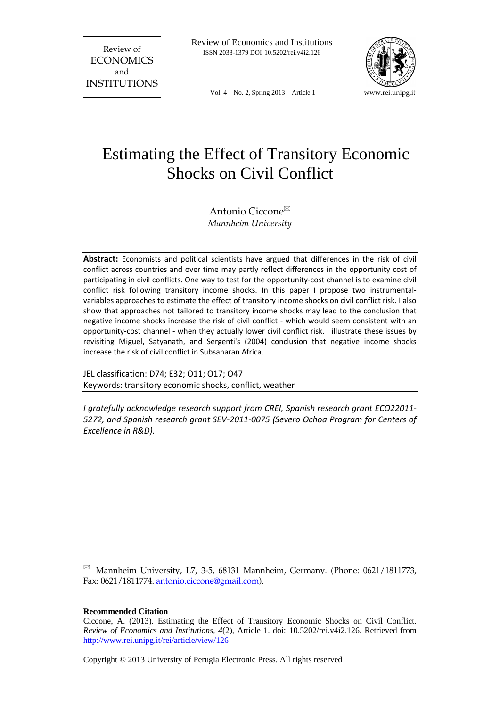Review of **ECONOMICS** and INSTITUTIONS Review of Economics and Institutions ISSN 2038-1379 DOI 10.5202/rei.v4i2.126



Vol. 4 – No. 2, Spring 2013 – Article 1

# Estimating the Effect of Transitory Economic Shocks on Civil Conflict

Antonio Ciccone *Mannheim University*

**Abstract:** Economists and political scientists have argued that differences in the risk of civil conflict across countries and over time may partly reflect differences in the opportunity cost of participating in civil conflicts. One way to test for the opportunity-cost channel is to examine civil conflict risk following transitory income shocks. In this paper I propose two instrumentalvariables approaches to estimate the effect of transitory income shocks on civil conflict risk. I also show that approaches not tailored to transitory income shocks may lead to the conclusion that negative income shocks increase the risk of civil conflict - which would seem consistent with an opportunity-cost channel - when they actually lower civil conflict risk. I illustrate these issues by revisiting Miguel, Satyanath, and Sergenti's (2004) conclusion that negative income shocks increase the risk of civil conflict in Subsaharan Africa.

JEL classification: D74; E32; O11; O17; O47 Keywords: transitory economic shocks, conflict, weather

*I gratefully acknowledge research support from CREI, Spanish research grant ECO22011- 5272, and Spanish research grant SEV-2011-0075 (Severo Ochoa Program for Centers of Excellence in R&D).*

**Recommended Citation**

 $\overline{a}$ 

Mannheim University, L7, 3-5, 68131 Mannheim, Germany. (Phone: 0621/1811773, Fax: 0621/1811774. [antonio.ciccone@gmail.com\)](mailto:antonio.ciccone@gmail.com).

Ciccone, A. (2013). Estimating the Effect of Transitory Economic Shocks on Civil Conflict. *Review of Economics and Institutions, 4*(2), Article 1. doi: 10.5202/rei.v4i2.126. Retrieved from <http://www.rei.unipg.it/rei/article/view/126>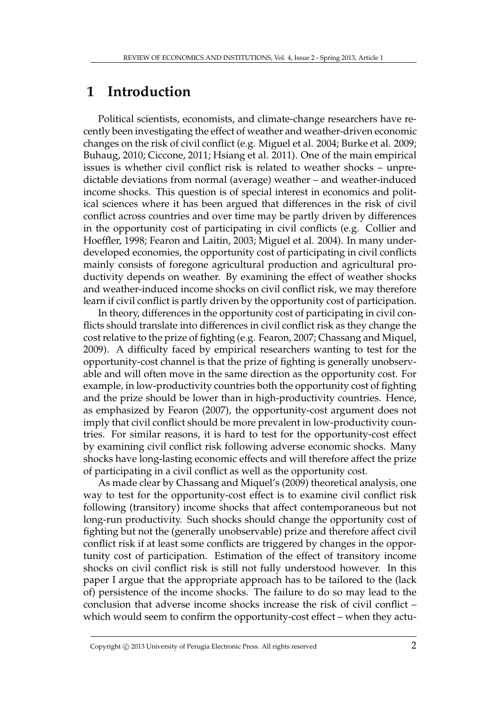## **1 Introduction**

Political scientists, economists, and climate-change researchers have recently been investigating the effect of weather and weather-driven economic changes on the risk of civil conflict (e.g. Miguel et al. 2004; Burke et al. 2009; Buhaug, 2010; Ciccone, 2011; Hsiang et al. 2011). One of the main empirical issues is whether civil conflict risk is related to weather shocks – unpredictable deviations from normal (average) weather – and weather-induced income shocks. This question is of special interest in economics and political sciences where it has been argued that differences in the risk of civil conflict across countries and over time may be partly driven by differences in the opportunity cost of participating in civil conflicts (e.g. Collier and Hoeffler, 1998; Fearon and Laitin, 2003; Miguel et al. 2004). In many underdeveloped economies, the opportunity cost of participating in civil conflicts mainly consists of foregone agricultural production and agricultural productivity depends on weather. By examining the effect of weather shocks and weather-induced income shocks on civil conflict risk, we may therefore learn if civil conflict is partly driven by the opportunity cost of participation.

In theory, differences in the opportunity cost of participating in civil conflicts should translate into differences in civil conflict risk as they change the cost relative to the prize of fighting (e.g. Fearon, 2007; Chassang and Miquel, 2009). A difficulty faced by empirical researchers wanting to test for the opportunity-cost channel is that the prize of fighting is generally unobservable and will often move in the same direction as the opportunity cost. For example, in low-productivity countries both the opportunity cost of fighting and the prize should be lower than in high-productivity countries. Hence, as emphasized by Fearon (2007), the opportunity-cost argument does not imply that civil conflict should be more prevalent in low-productivity countries. For similar reasons, it is hard to test for the opportunity-cost effect by examining civil conflict risk following adverse economic shocks. Many shocks have long-lasting economic effects and will therefore affect the prize of participating in a civil conflict as well as the opportunity cost.

As made clear by Chassang and Miquel's (2009) theoretical analysis, one way to test for the opportunity-cost effect is to examine civil conflict risk following (transitory) income shocks that affect contemporaneous but not long-run productivity. Such shocks should change the opportunity cost of fighting but not the (generally unobservable) prize and therefore affect civil conflict risk if at least some conflicts are triggered by changes in the opportunity cost of participation. Estimation of the effect of transitory income shocks on civil conflict risk is still not fully understood however. In this paper I argue that the appropriate approach has to be tailored to the (lack of) persistence of the income shocks. The failure to do so may lead to the conclusion that adverse income shocks increase the risk of civil conflict – which would seem to confirm the opportunity-cost effect – when they actu-

Copyright © 2013 University of Perugia Electronic Press. All rights reserved 2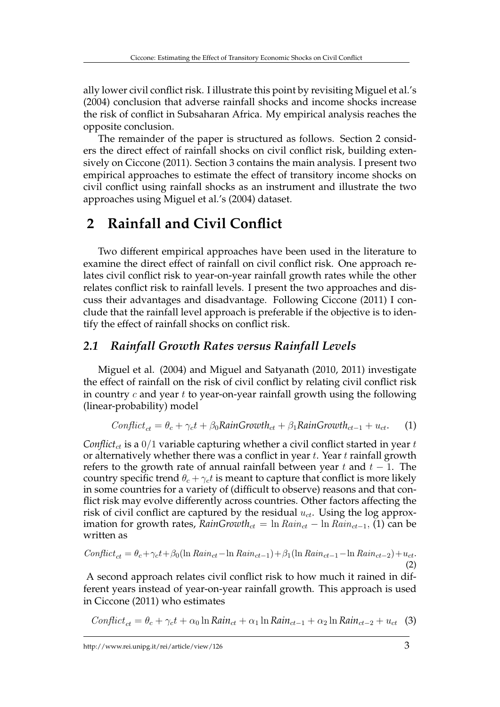ally lower civil conflict risk. I illustrate this point by revisiting Miguel et al.'s (2004) conclusion that adverse rainfall shocks and income shocks increase the risk of conflict in Subsaharan Africa. My empirical analysis reaches the opposite conclusion.

The remainder of the paper is structured as follows. Section 2 considers the direct effect of rainfall shocks on civil conflict risk, building extensively on Ciccone (2011). Section 3 contains the main analysis. I present two empirical approaches to estimate the effect of transitory income shocks on civil conflict using rainfall shocks as an instrument and illustrate the two approaches using Miguel et al.'s (2004) dataset.

# **2 Rainfall and Civil Conflict**

Two different empirical approaches have been used in the literature to examine the direct effect of rainfall on civil conflict risk. One approach relates civil conflict risk to year-on-year rainfall growth rates while the other relates conflict risk to rainfall levels. I present the two approaches and discuss their advantages and disadvantage. Following Ciccone (2011) I conclude that the rainfall level approach is preferable if the objective is to identify the effect of rainfall shocks on conflict risk.

### *2.1 Rainfall Growth Rates versus Rainfall Levels*

Miguel et al. (2004) and Miguel and Satyanath (2010, 2011) investigate the effect of rainfall on the risk of civil conflict by relating civil conflict risk in country  $c$  and year  $t$  to year-on-year rainfall growth using the following (linear-probability) model

$$
Conflict_{ct} = \theta_c + \gamma_c t + \beta_0 RainGrowth_{ct} + \beta_1 RainGrowth_{ct-1} + u_{ct}.
$$
 (1)

*Conflict<sub>ct</sub>* is a  $0/1$  variable capturing whether a civil conflict started in year t or alternatively whether there was a conflict in year  $t$ . Year  $t$  rainfall growth refers to the growth rate of annual rainfall between year t and  $t - 1$ . The country specific trend  $\theta_c + \gamma_c t$  is meant to capture that conflict is more likely in some countries for a variety of (difficult to observe) reasons and that conflict risk may evolve differently across countries. Other factors affecting the risk of civil conflict are captured by the residual  $u_{ct}$ . Using the log approximation for growth rates,  $RainGrowth_{ct} = \ln Rain_{ct} - \ln Rain_{ct-1}, (1)$  can be written as

$$
Conflict_{ct} = \theta_c + \gamma_c t + \beta_0 (\ln Rain_{ct} - \ln Rain_{ct-1}) + \beta_1 (\ln Rain_{ct-1} - \ln Rain_{ct-2}) + u_{ct}.
$$
\n(2)

A second approach relates civil conflict risk to how much it rained in different years instead of year-on-year rainfall growth. This approach is used in Ciccone (2011) who estimates

$$
Conflict_{ct} = \theta_c + \gamma_c t + \alpha_0 \ln Rain_{ct} + \alpha_1 \ln Rain_{ct-1} + \alpha_2 \ln Rain_{ct-2} + u_{ct} \quad (3)
$$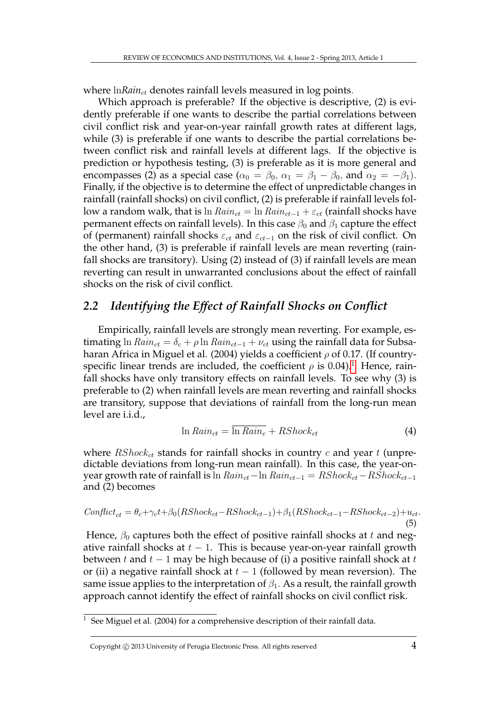where  $\ln \text{Rain}_{ct}$  denotes rainfall levels measured in log points.

Which approach is preferable? If the objective is descriptive, (2) is evidently preferable if one wants to describe the partial correlations between civil conflict risk and year-on-year rainfall growth rates at different lags, while (3) is preferable if one wants to describe the partial correlations between conflict risk and rainfall levels at different lags. If the objective is prediction or hypothesis testing, (3) is preferable as it is more general and encompasses (2) as a special case ( $\alpha_0 = \beta_0$ ,  $\alpha_1 = \beta_1 - \beta_0$ , and  $\alpha_2 = -\beta_1$ ). Finally, if the objective is to determine the effect of unpredictable changes in rainfall (rainfall shocks) on civil conflict, (2) is preferable if rainfall levels follow a random walk, that is ln  $Rain_{ct} = \ln Rain_{ct-1} + \varepsilon_{ct}$  (rainfall shocks have permanent effects on rainfall levels). In this case  $\beta_0$  and  $\beta_1$  capture the effect of (permanent) rainfall shocks  $\varepsilon_{ct}$  and  $\varepsilon_{ct-1}$  on the risk of civil conflict. On the other hand, (3) is preferable if rainfall levels are mean reverting (rainfall shocks are transitory). Using (2) instead of (3) if rainfall levels are mean reverting can result in unwarranted conclusions about the effect of rainfall shocks on the risk of civil conflict.

### *2.2 Identifying the Effect of Rainfall Shocks on Conflict*

Empirically, rainfall levels are strongly mean reverting. For example, estimating ln  $Rain_{ct} = \delta_c + \rho \ln Rain_{ct-1} + \nu_{ct}$  using the rainfall data for Subsaharan Africa in Miguel et al. (2004) yields a coefficient  $\rho$  of 0.17. (If countryspecific linear trends are included, the coefficient  $\rho$  is 0.04).<sup>[1](#page--1-0)</sup> Hence, rainfall shocks have only transitory effects on rainfall levels. To see why (3) is preferable to (2) when rainfall levels are mean reverting and rainfall shocks are transitory, suppose that deviations of rainfall from the long-run mean level are i.i.d.,

$$
\ln Rain_{ct} = \overline{\ln Rain_c} + RShock_{ct}
$$
\n(4)

where  $\mathit{RShock}_{ct}$  stands for rainfall shocks in country c and year t (unpredictable deviations from long-run mean rainfall). In this case, the year-onyear growth rate of rainfall is ln  $Rain_{ct}-ln Rain_{ct-1} = RShock_{ct}-RShock_{ct-1}$ and (2) becomes

$$
Conflict_{ct} = \theta_c + \gamma_c t + \beta_0 (RShock_{ct} - RShock_{ct-1}) + \beta_1 (RShock_{ct-1} - RShock_{ct-2}) + u_{ct}.
$$
\n(5)

Hence,  $\beta_0$  captures both the effect of positive rainfall shocks at t and negative rainfall shocks at  $t - 1$ . This is because year-on-year rainfall growth between t and  $t - 1$  may be high because of (i) a positive rainfall shock at t or (ii) a negative rainfall shock at  $t - 1$  (followed by mean reversion). The same issue applies to the interpretation of  $\beta_1$ . As a result, the rainfall growth approach cannot identify the effect of rainfall shocks on civil conflict risk.

See Miguel et al. (2004) for a comprehensive description of their rainfall data.

Copyright  $\odot$  2013 University of Perugia Electronic Press. All rights reserved  $4$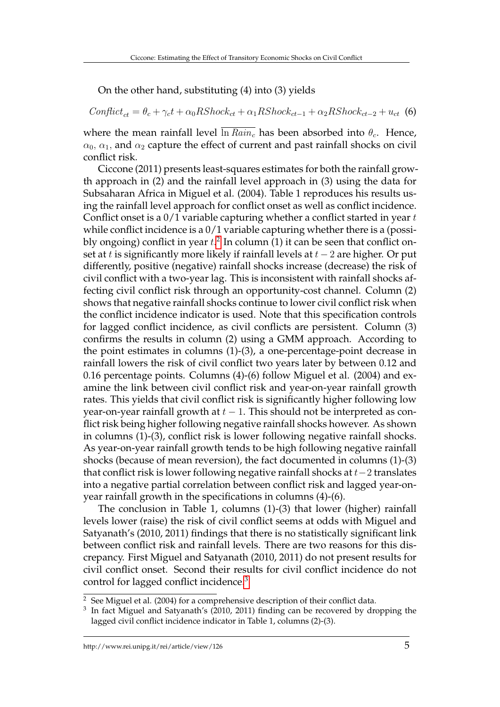On the other hand, substituting (4) into (3) yields

 $Conflict_{ct} = \theta_c + \gamma_c t + \alpha_0 RShock_{ct} + \alpha_1 RShock_{ct-1} + \alpha_2 RShock_{ct-2} + u_{ct}$  (6)

where the mean rainfall level  $\overline{\ln Rain_c}$  has been absorbed into  $\theta_c$ . Hence,  $\alpha_0$ ,  $\alpha_1$ , and  $\alpha_2$  capture the effect of current and past rainfall shocks on civil conflict risk.

Ciccone (2011) presents least-squares estimates for both the rainfall growth approach in (2) and the rainfall level approach in (3) using the data for Subsaharan Africa in Miguel et al. (2004). Table 1 reproduces his results using the rainfall level approach for conflict onset as well as conflict incidence. Conflict onset is a  $0/1$  variable capturing whether a conflict started in year  $t$ while conflict incidence is a  $0/1$  variable capturing whether there is a (possibly ongoing) conflict in year  $t.^2$  $t.^2$  In column (1) it can be seen that conflict onset at t is significantly more likely if rainfall levels at  $t-2$  are higher. Or put differently, positive (negative) rainfall shocks increase (decrease) the risk of civil conflict with a two-year lag. This is inconsistent with rainfall shocks affecting civil conflict risk through an opportunity-cost channel. Column (2) shows that negative rainfall shocks continue to lower civil conflict risk when the conflict incidence indicator is used. Note that this specification controls for lagged conflict incidence, as civil conflicts are persistent. Column (3) confirms the results in column (2) using a GMM approach. According to the point estimates in columns (1)-(3), a one-percentage-point decrease in rainfall lowers the risk of civil conflict two years later by between 0.12 and 0.16 percentage points. Columns (4)-(6) follow Miguel et al. (2004) and examine the link between civil conflict risk and year-on-year rainfall growth rates. This yields that civil conflict risk is significantly higher following low year-on-year rainfall growth at  $t - 1$ . This should not be interpreted as conflict risk being higher following negative rainfall shocks however. As shown in columns (1)-(3), conflict risk is lower following negative rainfall shocks. As year-on-year rainfall growth tends to be high following negative rainfall shocks (because of mean reversion), the fact documented in columns (1)-(3) that conflict risk is lower following negative rainfall shocks at t−2 translates into a negative partial correlation between conflict risk and lagged year-onyear rainfall growth in the specifications in columns (4)-(6).

The conclusion in Table 1, columns (1)-(3) that lower (higher) rainfall levels lower (raise) the risk of civil conflict seems at odds with Miguel and Satyanath's (2010, 2011) findings that there is no statistically significant link between conflict risk and rainfall levels. There are two reasons for this discrepancy. First Miguel and Satyanath (2010, 2011) do not present results for civil conflict onset. Second their results for civil conflict incidence do not control for lagged conflict incidence.[3](#page--1-0)

<sup>&</sup>lt;sup>2</sup> See Miguel et al. (2004) for a comprehensive description of their conflict data.

<sup>3</sup> In fact Miguel and Satyanath's (2010, 2011) finding can be recovered by dropping the lagged civil conflict incidence indicator in Table 1, columns (2)-(3).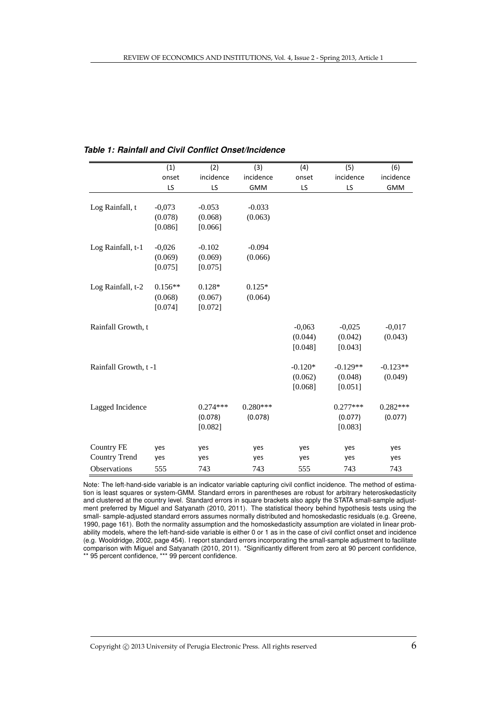|                      | (1)       | (2)        | (3)        | (4)       | (5)        | (6)        |
|----------------------|-----------|------------|------------|-----------|------------|------------|
|                      | onset     | incidence  | incidence  | onset     | incidence  | incidence  |
|                      | LS        | LS         | <b>GMM</b> | LS        | LS         | <b>GMM</b> |
|                      |           |            |            |           |            |            |
| Log Rainfall, t      | $-0,073$  | $-0.053$   | $-0.033$   |           |            |            |
|                      | (0.078)   | (0.068)    | (0.063)    |           |            |            |
|                      | [0.086]   | [0.066]    |            |           |            |            |
| Log Rainfall, t-1    | $-0,026$  | $-0.102$   | $-0.094$   |           |            |            |
|                      | (0.069)   | (0.069)    | (0.066)    |           |            |            |
|                      | [0.075]   | [0.075]    |            |           |            |            |
|                      |           |            |            |           |            |            |
| Log Rainfall, t-2    | $0.156**$ | $0.128*$   | $0.125*$   |           |            |            |
|                      | (0.068)   | (0.067)    | (0.064)    |           |            |            |
|                      | [0.074]   | [0.072]    |            |           |            |            |
| Rainfall Growth, t   |           |            |            | $-0,063$  | $-0,025$   | $-0,017$   |
|                      |           |            |            | (0.044)   | (0.042)    | (0.043)    |
|                      |           |            |            | [0.048]   | [0.043]    |            |
|                      |           |            |            |           |            |            |
| Rainfall Growth, t-1 |           |            |            | $-0.120*$ | $-0.129**$ | $-0.123**$ |
|                      |           |            |            | (0.062)   | (0.048)    | (0.049)    |
|                      |           |            |            | [0.068]   | [0.051]    |            |
| Lagged Incidence     |           | $0.274***$ | $0.280***$ |           | $0.277***$ | $0.282***$ |
|                      |           | (0.078)    | (0.078)    |           | (0.077)    | (0.077)    |
|                      |           | [0.082]    |            |           | [0.083]    |            |
|                      |           |            |            |           |            |            |
| <b>Country FE</b>    | yes       | yes        | yes        | yes       | yes        | yes        |
| <b>Country Trend</b> | yes       | yes        | yes        | yes       | yes        | yes        |
| <b>Observations</b>  | 555       | 743        | 743        | 555       | 743        | 743        |

#### *Table 1: Rainfall and Civil Conflict Onset/Incidence*

tion is least squares or system-GMM. Standard errors in parentheses are robust for arbitrary heteroskedasticity d clustered at the country level. Standard errors in square brackets also apply the STATA small-sample adjus ent preferred by Miguel and Satyanath (2010, 2011). The statistical theory behind hypothesis tests using th small- sample-adjusted standard errors assumes normally distributed and homoskedastic residuals (e.g. Greene,<br>1999 associated by Dallette country assumes normally distributed and homoskedastic residuals (by Concrete Food, page 101). Both the homiality assumption and the nonloskedasticity assumption are violated in linear prob<br>ability models, where the left-hand-side variable is either 0 or 1 as in the case of civil conflict onset and hypothesis tests using the small- sample-adjusted standard errors assumes normally distributed and (e.g. Wooldridge, 2002, page 454). I report standard errors incorporating the small-sample adjustment to facilitate comparison with Miguel and Satyanath (2010, 2011). \*Significantly different from zero at 90 percent confidence, \*\* 95 percent confidence, \*\*\* 99 percent confidence. Note: The left-hand-side variable is an indicator variable capturing civil conflict incidence. The method of estimaand clustered at the country level. Standard errors in square brackets also apply the STATA small-sample adjustment preferred by Miguel and Satyanath (2010, 2011). The statistical theory behind hypothesis tests using the 1990, page 161). Both the normality assumption and the homoskedasticity assumption are violated in linear prob-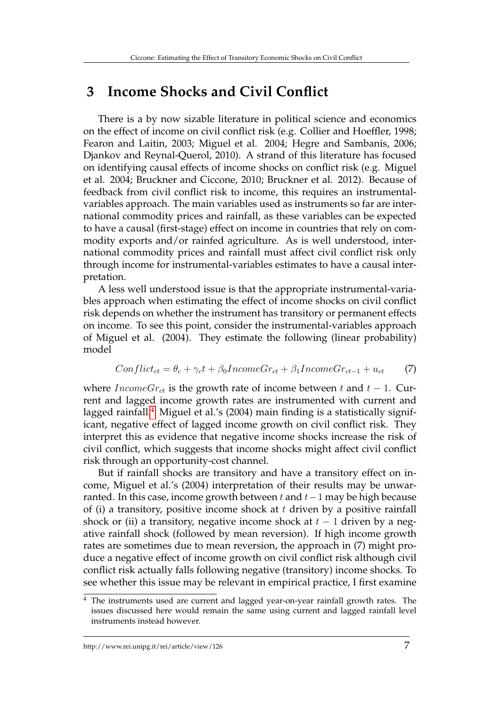## **3 Income Shocks and Civil Conflict**

There is a by now sizable literature in political science and economics on the effect of income on civil conflict risk (e.g. Collier and Hoeffler, 1998; Fearon and Laitin, 2003; Miguel et al. 2004; Hegre and Sambanis, 2006; Djankov and Reynal-Querol, 2010). A strand of this literature has focused on identifying causal effects of income shocks on conflict risk (e.g. Miguel et al. 2004; Bruckner and Ciccone, 2010; Bruckner et al. 2012). Because of feedback from civil conflict risk to income, this requires an instrumentalvariables approach. The main variables used as instruments so far are international commodity prices and rainfall, as these variables can be expected to have a causal (first-stage) effect on income in countries that rely on commodity exports and/or rainfed agriculture. As is well understood, international commodity prices and rainfall must affect civil conflict risk only through income for instrumental-variables estimates to have a causal interpretation.

A less well understood issue is that the appropriate instrumental-variables approach when estimating the effect of income shocks on civil conflict risk depends on whether the instrument has transitory or permanent effects on income. To see this point, consider the instrumental-variables approach of Miguel et al. (2004). They estimate the following (linear probability) model

$$
Conflict_{ct} = \theta_c + \gamma_c t + \beta_0 IncomeGr_{ct} + \beta_1 IncomeGr_{ct-1} + u_{ct}
$$
 (7)

where  $IncomeGr_{ct}$  is the growth rate of income between t and  $t-1$ . Current and lagged income growth rates are instrumented with current and lagged rainfall.<sup>[4](#page--1-0)</sup> Miguel et al.'s (2004) main finding is a statistically significant, negative effect of lagged income growth on civil conflict risk. They interpret this as evidence that negative income shocks increase the risk of civil conflict, which suggests that income shocks might affect civil conflict risk through an opportunity-cost channel.

But if rainfall shocks are transitory and have a transitory effect on income, Miguel et al.'s (2004) interpretation of their results may be unwarranted. In this case, income growth between t and  $t-1$  may be high because of (i) a transitory, positive income shock at  $t$  driven by a positive rainfall shock or (ii) a transitory, negative income shock at  $t-1$  driven by a negative rainfall shock (followed by mean reversion). If high income growth rates are sometimes due to mean reversion, the approach in (7) might produce a negative effect of income growth on civil conflict risk although civil conflict risk actually falls following negative (transitory) income shocks. To see whether this issue may be relevant in empirical practice, I first examine

<sup>&</sup>lt;sup>4</sup> The instruments used are current and lagged year-on-year rainfall growth rates. The issues discussed here would remain the same using current and lagged rainfall level instruments instead however.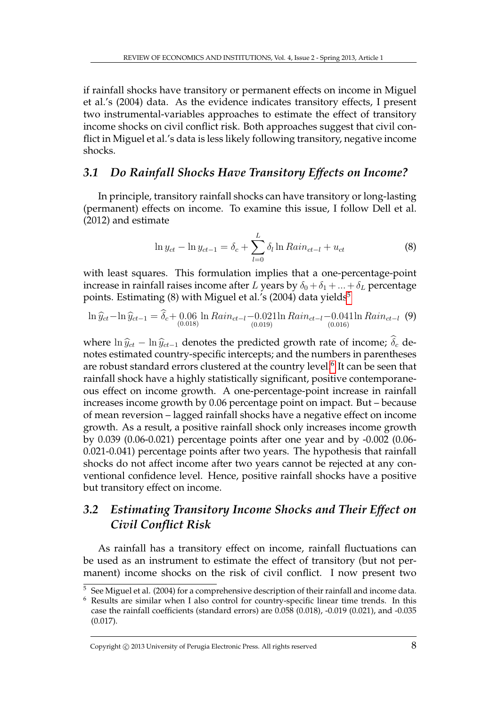if rainfall shocks have transitory or permanent effects on income in Miguel et al.'s (2004) data. As the evidence indicates transitory effects, I present two instrumental-variables approaches to estimate the effect of transitory income shocks on civil conflict risk. Both approaches suggest that civil conflict in Miguel et al.'s data is less likely following transitory, negative income shocks.

### *3.1 Do Rainfall Shocks Have Transitory Effects on Income?*

In principle, transitory rainfall shocks can have transitory or long-lasting (permanent) effects on income. To examine this issue, I follow Dell et al. (2012) and estimate

$$
\ln y_{ct} - \ln y_{ct-1} = \delta_c + \sum_{l=0}^{L} \delta_l \ln Rain_{ct-l} + u_{ct}
$$
 (8)

with least squares. This formulation implies that a one-percentage-point increase in rainfall raises income after L years by  $\delta_0 + \delta_1 + ... + \delta_L$  percentage points. Estimating  $(8)$  with Miguel et al.'s  $(2004)$  data yields<sup>[5](#page--1-0)</sup>

$$
\ln \hat{y}_{ct} - \ln \hat{y}_{ct-1} = \hat{\delta}_c + 0.06 \ln Rain_{ct-l} - 0.021 \ln Rain_{ct-l} - 0.041 \ln Rain_{ct-l} \tag{9}
$$

where  $\ln \hat{y}_{ct} - \ln \hat{y}_{ct-1}$  denotes the predicted growth rate of income;  $\hat{\delta}_c$  denotes estimated country-specific intercepts; and the numbers in parentheses are robust standard errors clustered at the country level. $^6$  $^6$  It can be seen that rainfall shock have a highly statistically significant, positive contemporaneous effect on income growth. A one-percentage-point increase in rainfall increases income growth by 0.06 percentage point on impact. But – because of mean reversion – lagged rainfall shocks have a negative effect on income growth. As a result, a positive rainfall shock only increases income growth by 0.039 (0.06-0.021) percentage points after one year and by -0.002 (0.06- 0.021-0.041) percentage points after two years. The hypothesis that rainfall shocks do not affect income after two years cannot be rejected at any conventional confidence level. Hence, positive rainfall shocks have a positive but transitory effect on income.

## *3.2 Estimating Transitory Income Shocks and Their Effect on Civil Conflict Risk*

As rainfall has a transitory effect on income, rainfall fluctuations can be used as an instrument to estimate the effect of transitory (but not permanent) income shocks on the risk of civil conflict. I now present two

Copyright  $\odot$  2013 University of Perugia Electronic Press. All rights reserved  $8$ 

<sup>&</sup>lt;sup>5</sup> See Miguel et al. (2004) for a comprehensive description of their rainfall and income data.<br><sup>6</sup> Results are similar when I also control for country-specific linear time trends. In this

Results are similar when I also control for country-specific linear time trends. In this case the rainfall coefficients (standard errors) are 0.058 (0.018), -0.019 (0.021), and -0.035 (0.017).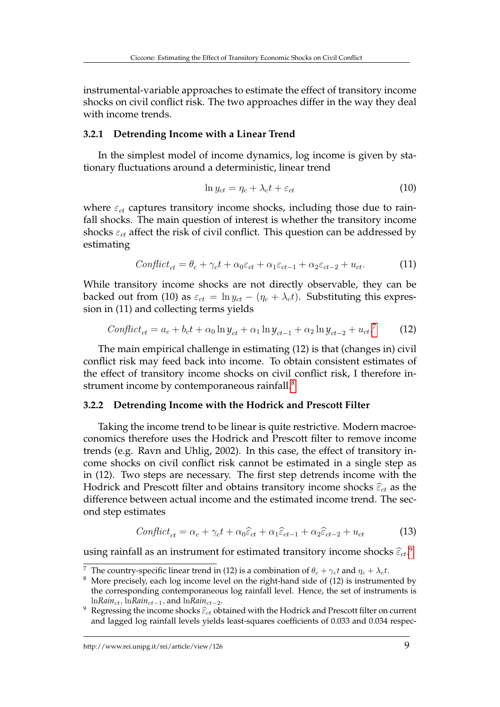instrumental-variable approaches to estimate the effect of transitory income shocks on civil conflict risk. The two approaches differ in the way they deal with income trends.

#### **3.2.1 Detrending Income with a Linear Trend**

In the simplest model of income dynamics, log income is given by stationary fluctuations around a deterministic, linear trend

$$
\ln y_{ct} = \eta_c + \lambda_c t + \varepsilon_{ct} \tag{10}
$$

where  $\varepsilon_{ct}$  captures transitory income shocks, including those due to rainfall shocks. The main question of interest is whether the transitory income shocks  $\varepsilon_{ct}$  affect the risk of civil conflict. This question can be addressed by estimating

$$
Conflict_{ct} = \theta_c + \gamma_c t + \alpha_0 \varepsilon_{ct} + \alpha_1 \varepsilon_{ct-1} + \alpha_2 \varepsilon_{ct-2} + u_{ct}.
$$
 (11)

While transitory income shocks are not directly observable, they can be backed out from (10) as  $\varepsilon_{ct} = \ln y_{ct} - (\eta_c + \lambda_c t)$ . Substituting this expression in (11) and collecting terms yields

$$
Conflict_{ct} = a_c + b_c t + \alpha_0 \ln y_{ct} + \alpha_1 \ln y_{ct-1} + \alpha_2 \ln y_{ct-2} + u_{ct}^{7}
$$
 (12)

The main empirical challenge in estimating (12) is that (changes in) civil conflict risk may feed back into income. To obtain consistent estimates of the effect of transitory income shocks on civil conflict risk, I therefore in-strument income by contemporaneous rainfall.<sup>[8](#page--1-0)</sup>

#### **3.2.2 Detrending Income with the Hodrick and Prescott Filter**

Taking the income trend to be linear is quite restrictive. Modern macroeconomics therefore uses the Hodrick and Prescott filter to remove income trends (e.g. Ravn and Uhlig, 2002). In this case, the effect of transitory income shocks on civil conflict risk cannot be estimated in a single step as in (12). Two steps are necessary. The first step detrends income with the Hodrick and Prescott filter and obtains transitory income shocks  $\widehat{\varepsilon}_{ct}$  as the difference between actual income and the estimated income trend. The second step estimates

$$
Conflict_{ct} = \alpha_c + \gamma_c t + \alpha_0 \hat{\varepsilon}_{ct} + \alpha_1 \hat{\varepsilon}_{ct-1} + \alpha_2 \hat{\varepsilon}_{ct-2} + u_{ct}
$$
(13)

using rainfall as an instrument for estimated transitory income shocks  $\widehat{\varepsilon}_{ct}$ .<sup>[9](#page--1-0)</sup>

<sup>&</sup>lt;sup>7</sup> The country-specific linear trend in (12) is a combination of  $\theta_c + \gamma_c t$  and  $\eta_c + \lambda_c t$ .

 $8$  More precisely, each log income level on the right-hand side of (12) is instrumented by the corresponding contemporaneous log rainfall level. Hence, the set of instruments is ln*Rain*ct, ln*Rain*ct−1, and ln*Rain*ct−2.

Regressing the income shocks  $\hat{\varepsilon}_{ct}$  obtained with the Hodrick and Prescott filter on current and lagged log rainfall levels yields least-squares coefficients of 0.033 and 0.034 respec-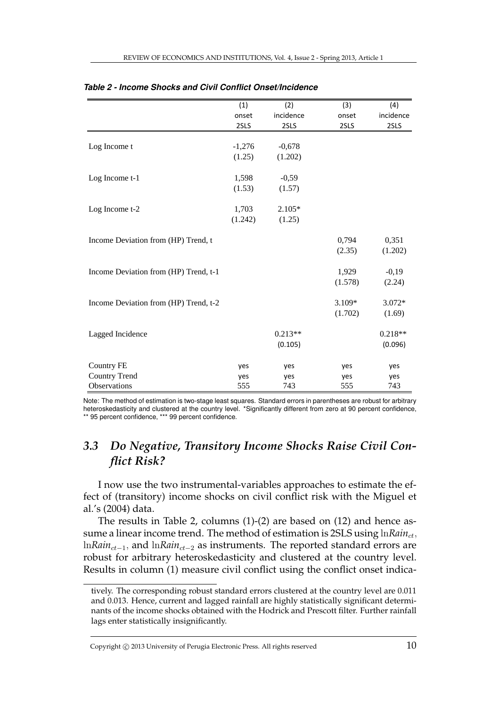|                                       | (1)      | (2)       | (3)     | (4)       |
|---------------------------------------|----------|-----------|---------|-----------|
|                                       | onset    | incidence | onset   | incidence |
|                                       | 2SLS     | 2SLS      | 2SLS    | 2SLS      |
|                                       |          |           |         |           |
| Log Income t                          | $-1,276$ | $-0,678$  |         |           |
|                                       | (1.25)   | (1.202)   |         |           |
| Log Income t-1                        | 1,598    | $-0,59$   |         |           |
|                                       | (1.53)   | (1.57)    |         |           |
| Log Income t-2                        | 1,703    | $2.105*$  |         |           |
|                                       | (1.242)  | (1.25)    |         |           |
| Income Deviation from (HP) Trend, t   |          |           | 0,794   | 0,351     |
|                                       |          |           | (2.35)  | (1.202)   |
| Income Deviation from (HP) Trend, t-1 |          |           | 1,929   | $-0,19$   |
|                                       |          |           | (1.578) | (2.24)    |
|                                       |          |           |         |           |
| Income Deviation from (HP) Trend, t-2 |          |           | 3.109*  | 3.072*    |
|                                       |          |           | (1.702) | (1.69)    |
| Lagged Incidence                      |          | $0.213**$ |         | $0.218**$ |
|                                       |          | (0.105)   |         | (0.096)   |
| <b>Country FE</b>                     | yes      | yes       | yes     | yes       |
| <b>Country Trend</b>                  | yes      | yes       | yes     | yes       |
| Observations                          | 555      | 743       | 555     | 743       |

heteroskedasticity and clustered at the country level. \*Significantly different from zero at 90 percent confidence, \*\* 95 percent confidence, \*\*\* 99 percent confidence. Note: The method of estimation is two-stage least squares. Standard errors in parentheses are robust for arbitrary

#### confidence, \*\* 95 percent confidence, \*\*\* 99 percent confidence. *3.3 Do Negative, Transitory Income Shocks Raise Civil Conflict Risk?*

I now use the two instrumental-variables approaches to estimate the effect of (transitory) income shocks on civil conflict risk with the Miguel et al.'s (2004) data.

The results in Table 2, columns (1)-(2) are based on (12) and hence assume a linear income trend. The method of estimation is 2SLS using lnRain<sub>ct</sub>, ln*Rain<sub>ct−1</sub>*, and ln*Rain<sub>ct−2</sub>* as instruments. The reported standard errors are robust for arbitrary heteroskedasticity and clustered at the country level. Results in column (1) measure civil conflict using the conflict onset indica-

tively. The corresponding robust standard errors clustered at the country level are 0.011 and 0.013. Hence, current and lagged rainfall are highly statistically significant determinants of the income shocks obtained with the Hodrick and Prescott filter. Further rainfall lags enter statistically insignificantly.

Copyright  $\odot$  2013 University of Perugia Electronic Press. All rights reserved  $10$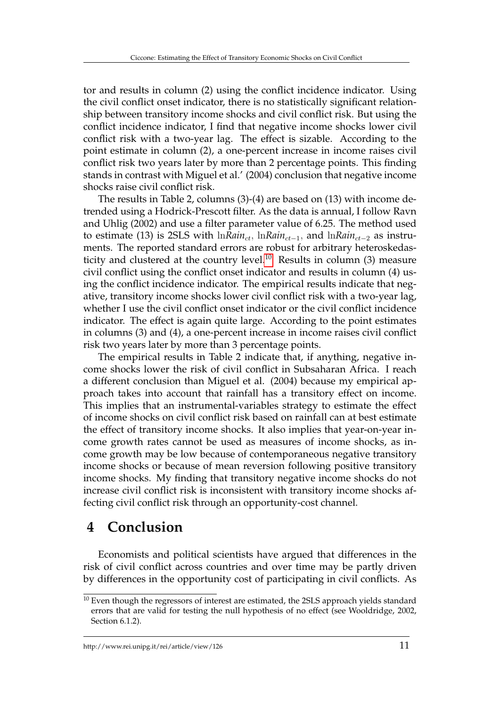tor and results in column (2) using the conflict incidence indicator. Using the civil conflict onset indicator, there is no statistically significant relationship between transitory income shocks and civil conflict risk. But using the conflict incidence indicator, I find that negative income shocks lower civil conflict risk with a two-year lag. The effect is sizable. According to the point estimate in column (2), a one-percent increase in income raises civil conflict risk two years later by more than 2 percentage points. This finding stands in contrast with Miguel et al.' (2004) conclusion that negative income shocks raise civil conflict risk.

The results in Table 2, columns (3)-(4) are based on (13) with income detrended using a Hodrick-Prescott filter. As the data is annual, I follow Ravn and Uhlig (2002) and use a filter parameter value of 6.25. The method used to estimate (13) is 2SLS with ln*Rain<sub>ct*</sub>, ln*Rain*<sub>ct−1</sub>, and ln*Rain*<sub>ct−2</sub> as instruments. The reported standard errors are robust for arbitrary heteroskedas-ticity and clustered at the country level.<sup>[10](#page--1-0)</sup> Results in column (3) measure civil conflict using the conflict onset indicator and results in column (4) using the conflict incidence indicator. The empirical results indicate that negative, transitory income shocks lower civil conflict risk with a two-year lag, whether I use the civil conflict onset indicator or the civil conflict incidence indicator. The effect is again quite large. According to the point estimates in columns (3) and (4), a one-percent increase in income raises civil conflict risk two years later by more than 3 percentage points.

The empirical results in Table 2 indicate that, if anything, negative income shocks lower the risk of civil conflict in Subsaharan Africa. I reach a different conclusion than Miguel et al. (2004) because my empirical approach takes into account that rainfall has a transitory effect on income. This implies that an instrumental-variables strategy to estimate the effect of income shocks on civil conflict risk based on rainfall can at best estimate the effect of transitory income shocks. It also implies that year-on-year income growth rates cannot be used as measures of income shocks, as income growth may be low because of contemporaneous negative transitory income shocks or because of mean reversion following positive transitory income shocks. My finding that transitory negative income shocks do not increase civil conflict risk is inconsistent with transitory income shocks affecting civil conflict risk through an opportunity-cost channel.

## **4 Conclusion**

Economists and political scientists have argued that differences in the risk of civil conflict across countries and over time may be partly driven by differences in the opportunity cost of participating in civil conflicts. As

 $10$  Even though the regressors of interest are estimated, the 2SLS approach yields standard errors that are valid for testing the null hypothesis of no effect (see Wooldridge, 2002, Section 6.1.2).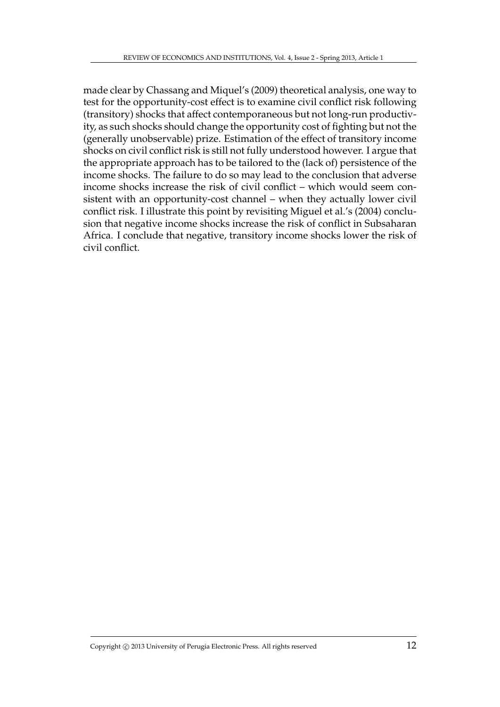made clear by Chassang and Miquel's (2009) theoretical analysis, one way to test for the opportunity-cost effect is to examine civil conflict risk following (transitory) shocks that affect contemporaneous but not long-run productivity, as such shocks should change the opportunity cost of fighting but not the (generally unobservable) prize. Estimation of the effect of transitory income shocks on civil conflict risk is still not fully understood however. I argue that the appropriate approach has to be tailored to the (lack of) persistence of the income shocks. The failure to do so may lead to the conclusion that adverse income shocks increase the risk of civil conflict – which would seem consistent with an opportunity-cost channel – when they actually lower civil conflict risk. I illustrate this point by revisiting Miguel et al.'s (2004) conclusion that negative income shocks increase the risk of conflict in Subsaharan Africa. I conclude that negative, transitory income shocks lower the risk of civil conflict.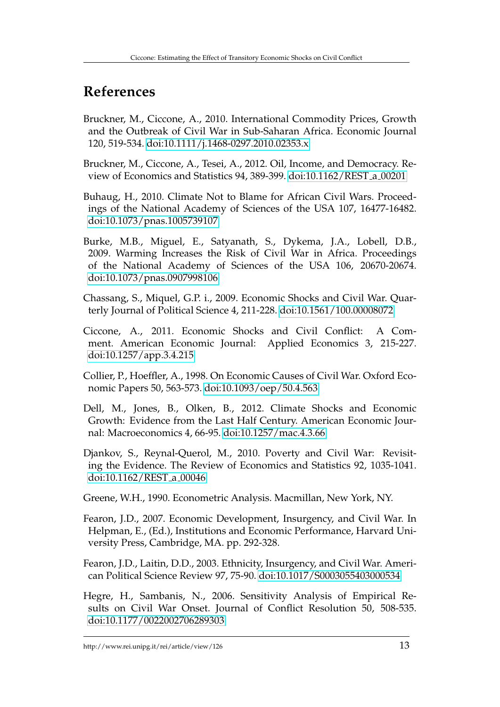# **References**

Bruckner, M., Ciccone, A., 2010. International Commodity Prices, Growth and the Outbreak of Civil War in Sub-Saharan Africa. Economic Journal 120, 519-534. [doi:10.1111/j.1468-0297.2010.02353.x](http://dx.doi.org/10.1111/j.1468-0297.2010.02353.x)

Bruckner, M., Ciccone, A., Tesei, A., 2012. Oil, Income, and Democracy. Review of Economics and Statistics 94, 389-399. [doi:10.1162/REST](http://dx.doi.org/10.1162/REST_a_00201) a 00201

Buhaug, H., 2010. Climate Not to Blame for African Civil Wars. Proceedings of the National Academy of Sciences of the USA 107, 16477-16482. [doi:10.1073/pnas.1005739107](http://dx.doi.org/10.1073/pnas.1005739107)

Burke, M.B., Miguel, E., Satyanath, S., Dykema, J.A., Lobell, D.B., 2009. Warming Increases the Risk of Civil War in Africa. Proceedings of the National Academy of Sciences of the USA 106, 20670-20674. [doi:10.1073/pnas.0907998106](http://dx.doi.org/10.1073/pnas.0907998106)

Chassang, S., Miquel, G.P. i., 2009. Economic Shocks and Civil War. Quarterly Journal of Political Science 4, 211-228. [doi:10.1561/100.00008072](http://dx.doi.org/10.1561/100.00008072)

Ciccone, A., 2011. Economic Shocks and Civil Conflict: A Comment. American Economic Journal: Applied Economics 3, 215-227. [doi:10.1257/app.3.4.215](http://dx.doi.org/10.1257/app.3.4.215)

Collier, P., Hoeffler, A., 1998. On Economic Causes of Civil War. Oxford Economic Papers 50, 563-573. [doi:10.1093/oep/50.4.563](http://dx.doi.org/10.1093/oep/50.4.563)

Dell, M., Jones, B., Olken, B., 2012. Climate Shocks and Economic Growth: Evidence from the Last Half Century. American Economic Journal: Macroeconomics 4, 66-95. [doi:10.1257/mac.4.3.66](http://dx.doi.org/10.1257/mac.4.3.66)

Djankov, S., Reynal-Querol, M., 2010. Poverty and Civil War: Revisiting the Evidence. The Review of Economics and Statistics 92, 1035-1041. [doi:10.1162/REST](http://dx.doi.org/10.1162/REST_a_00046)<sub>-a-00046</sub>

Greene, W.H., 1990. Econometric Analysis. Macmillan, New York, NY.

Fearon, J.D., 2007. Economic Development, Insurgency, and Civil War. In Helpman, E., (Ed.), Institutions and Economic Performance, Harvard University Press, Cambridge, MA. pp. 292-328.

Fearon, J.D., Laitin, D.D., 2003. Ethnicity, Insurgency, and Civil War. American Political Science Review 97, 75-90. [doi:10.1017/S0003055403000534](http://dx.doi.org/10.1017/S0003055403000534)

Hegre, H., Sambanis, N., 2006. Sensitivity Analysis of Empirical Results on Civil War Onset. Journal of Conflict Resolution 50, 508-535. [doi:10.1177/0022002706289303](http://dx.doi.org/10.1177/0022002706289303)